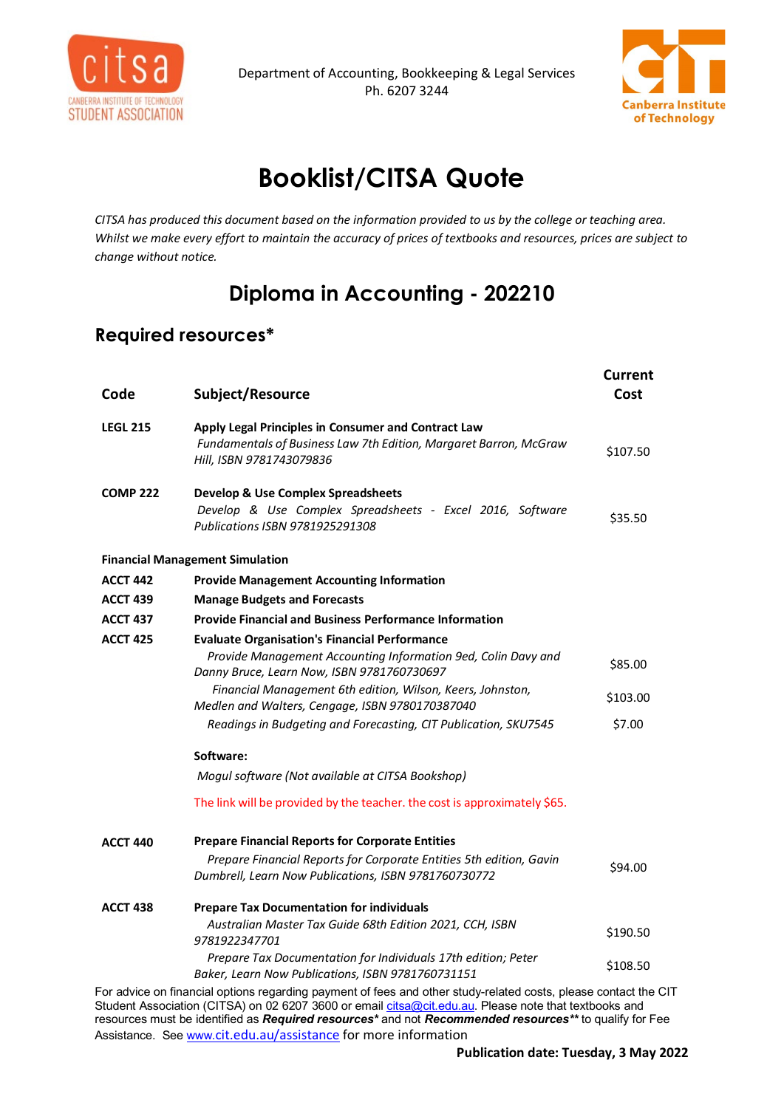



## **Booklist/CITSA Quote**

*CITSA has produced this document based on the information provided to us by the college or teaching area. Whilst we make every effort to maintain the accuracy of prices of textbooks and resources, prices are subject to change without notice.*

## **Diploma in Accounting - 202210**

## **Required resources\***

| Code            | Subject/Resource                                                                                                                                     | <b>Current</b><br>Cost |
|-----------------|------------------------------------------------------------------------------------------------------------------------------------------------------|------------------------|
| <b>LEGL 215</b> | Apply Legal Principles in Consumer and Contract Law<br>Fundamentals of Business Law 7th Edition, Margaret Barron, McGraw<br>Hill, ISBN 9781743079836 | \$107.50               |
| <b>COMP 222</b> | <b>Develop &amp; Use Complex Spreadsheets</b>                                                                                                        |                        |
|                 | Develop & Use Complex Spreadsheets - Excel 2016, Software<br>Publications ISBN 9781925291308                                                         | \$35.50                |
|                 | <b>Financial Management Simulation</b>                                                                                                               |                        |
| <b>ACCT 442</b> | <b>Provide Management Accounting Information</b>                                                                                                     |                        |
| <b>ACCT 439</b> | <b>Manage Budgets and Forecasts</b>                                                                                                                  |                        |
| <b>ACCT 437</b> | <b>Provide Financial and Business Performance Information</b>                                                                                        |                        |
| <b>ACCT 425</b> | <b>Evaluate Organisation's Financial Performance</b>                                                                                                 |                        |
|                 | Provide Management Accounting Information 9ed, Colin Davy and<br>Danny Bruce, Learn Now, ISBN 9781760730697                                          | \$85.00                |
|                 | Financial Management 6th edition, Wilson, Keers, Johnston,<br>Medlen and Walters, Cengage, ISBN 9780170387040                                        | \$103.00               |
|                 | Readings in Budgeting and Forecasting, CIT Publication, SKU7545                                                                                      | \$7.00                 |
|                 | Software:                                                                                                                                            |                        |
|                 | Mogul software (Not available at CITSA Bookshop)                                                                                                     |                        |
|                 | The link will be provided by the teacher. the cost is approximately \$65.                                                                            |                        |
| <b>ACCT 440</b> | <b>Prepare Financial Reports for Corporate Entities</b>                                                                                              |                        |
|                 | Prepare Financial Reports for Corporate Entities 5th edition, Gavin<br>Dumbrell, Learn Now Publications, ISBN 9781760730772                          | \$94.00                |
|                 |                                                                                                                                                      |                        |
| <b>ACCT 438</b> | <b>Prepare Tax Documentation for individuals</b>                                                                                                     |                        |
|                 | Australian Master Tax Guide 68th Edition 2021, CCH, ISBN<br>9781922347701                                                                            | \$190.50               |
|                 | Prepare Tax Documentation for Individuals 17th edition; Peter<br>Baker, Learn Now Publications, ISBN 9781760731151                                   | \$108.50               |
|                 | can advise an financial entians regarding normant of fees and other study related sects, please contact the                                          |                        |

For advice on financial options regarding payment of fees and other study-related costs, please contact the CIT Student Association (CITSA) on 02 6207 3600 or email <u>citsa@cit.edu.au</u>. Please note that textbooks and resources must be identified as *Required resources\** and not *Recommended resources\*\** to qualify for Fee Assistance. Se[e www.](http://www.cit.edu.au/assistance)[cit.edu.au/assistance](http://www.cit.edu.au/assistance) for more information